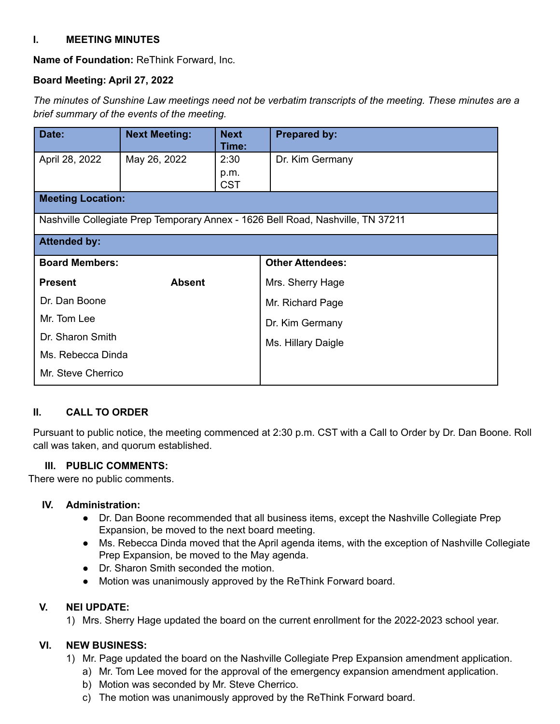## **I. MEETING MINUTES**

**Name of Foundation:** ReThink Forward, Inc.

# **Board Meeting: April 27, 2022**

*The minutes of Sunshine Law meetings need not be verbatim transcripts of the meeting. These minutes are a brief summary of the events of the meeting.*

| Date:                                                                           | <b>Next Meeting:</b> | <b>Next</b><br>Time: | <b>Prepared by:</b>     |
|---------------------------------------------------------------------------------|----------------------|----------------------|-------------------------|
| April 28, 2022                                                                  | May 26, 2022         | 2:30                 | Dr. Kim Germany         |
|                                                                                 |                      | p.m.<br><b>CST</b>   |                         |
| <b>Meeting Location:</b>                                                        |                      |                      |                         |
| Nashville Collegiate Prep Temporary Annex - 1626 Bell Road, Nashville, TN 37211 |                      |                      |                         |
| <b>Attended by:</b>                                                             |                      |                      |                         |
| <b>Board Members:</b>                                                           |                      |                      | <b>Other Attendees:</b> |
| <b>Present</b>                                                                  | <b>Absent</b>        |                      | Mrs. Sherry Hage        |
| Dr. Dan Boone                                                                   |                      |                      | Mr. Richard Page        |
| Mr. Tom Lee                                                                     |                      |                      | Dr. Kim Germany         |
| Dr. Sharon Smith                                                                |                      |                      | Ms. Hillary Daigle      |
| Ms. Rebecca Dinda                                                               |                      |                      |                         |
| Mr. Steve Cherrico                                                              |                      |                      |                         |

## **II. CALL TO ORDER**

Pursuant to public notice, the meeting commenced at 2:30 p.m. CST with a Call to Order by Dr. Dan Boone. Roll call was taken, and quorum established.

## **III. PUBLIC COMMENTS:**

There were no public comments.

## **IV. Administration:**

- Dr. Dan Boone recommended that all business items, except the Nashville Collegiate Prep Expansion, be moved to the next board meeting.
- Ms. Rebecca Dinda moved that the April agenda items, with the exception of Nashville Collegiate Prep Expansion, be moved to the May agenda.
- Dr. Sharon Smith seconded the motion.
- Motion was unanimously approved by the ReThink Forward board.

## **V. NEI UPDATE:**

1) Mrs. Sherry Hage updated the board on the current enrollment for the 2022-2023 school year.

## **VI. NEW BUSINESS:**

- 1) Mr. Page updated the board on the Nashville Collegiate Prep Expansion amendment application.
	- a) Mr. Tom Lee moved for the approval of the emergency expansion amendment application.
	- b) Motion was seconded by Mr. Steve Cherrico.
	- c) The motion was unanimously approved by the ReThink Forward board.